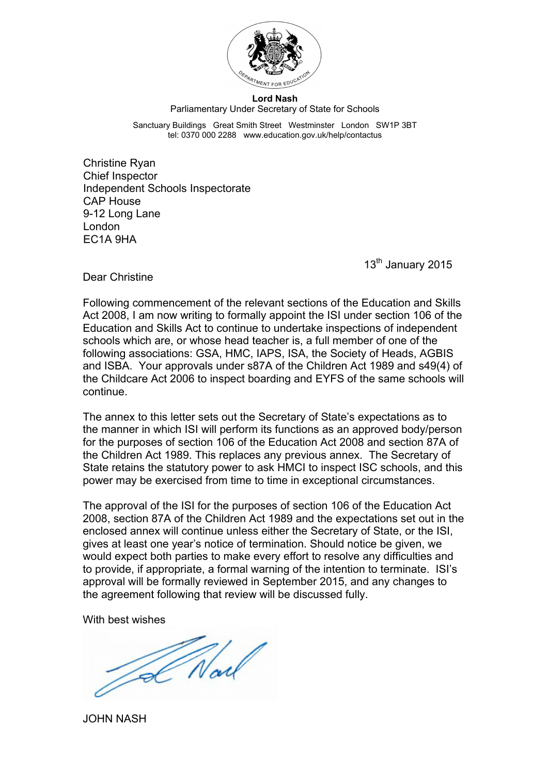

## **Lord Nash** Parliamentary Under Secretary of State for Schools

Sanctuary Buildings Great Smith Street Westminster London SW1P 3BT tel: 0370 000 2288 www.education.gov.uk/help/contactus

Christine Ryan Chief Inspector Independent Schools Inspectorate CAP House 9-12 Long Lane London EC1A 9HA

13<sup>th</sup> January 2015

Dear Christine

Following commencement of the relevant sections of the Education and Skills Act 2008, I am now writing to formally appoint the ISI under section 106 of the Education and Skills Act to continue to undertake inspections of independent schools which are, or whose head teacher is, a full member of one of the following associations: GSA, HMC, IAPS, ISA, the Society of Heads, AGBIS and ISBA. Your approvals under s87A of the Children Act 1989 and s49(4) of the Childcare Act 2006 to inspect boarding and EYFS of the same schools will continue.

The annex to this letter sets out the Secretary of State's expectations as to the manner in which ISI will perform its functions as an approved body/person for the purposes of section 106 of the Education Act 2008 and section 87A of the Children Act 1989. This replaces any previous annex. The Secretary of State retains the statutory power to ask HMCI to inspect ISC schools, and this power may be exercised from time to time in exceptional circumstances.

The approval of the ISI for the purposes of section 106 of the Education Act 2008, section 87A of the Children Act 1989 and the expectations set out in the enclosed annex will continue unless either the Secretary of State, or the ISI, gives at least one year's notice of termination. Should notice be given, we would expect both parties to make every effort to resolve any difficulties and to provide, if appropriate, a formal warning of the intention to terminate. ISI's approval will be formally reviewed in September 2015, and any changes to the agreement following that review will be discussed fully.

With best wishes

Alad

JOHN NASH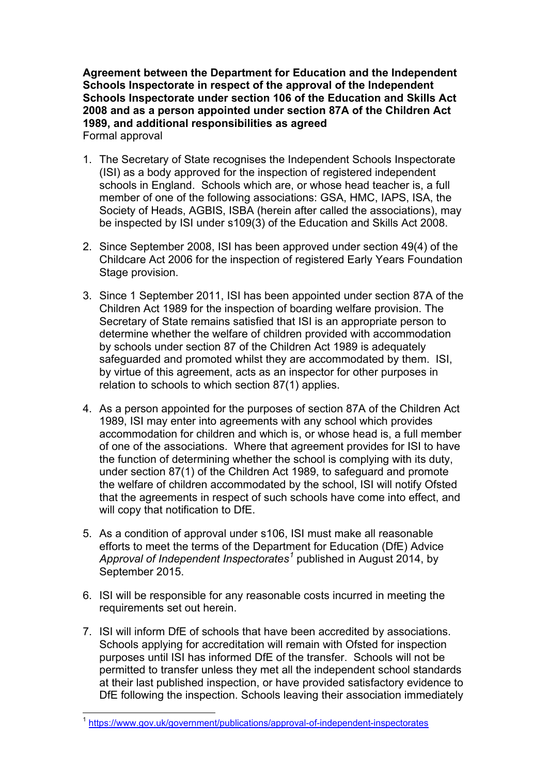**Agreement between the Department for Education and the Independent Schools Inspectorate in respect of the approval of the Independent Schools Inspectorate under section 106 of the Education and Skills Act 2008 and as a person appointed under section 87A of the Children Act 1989, and additional responsibilities as agreed** Formal approval

- 1. The Secretary of State recognises the Independent Schools Inspectorate (ISI) as a body approved for the inspection of registered independent schools in England. Schools which are, or whose head teacher is, a full member of one of the following associations: GSA, HMC, IAPS, ISA, the Society of Heads, AGBIS, ISBA (herein after called the associations), may be inspected by ISI under s109(3) of the Education and Skills Act 2008.
- 2. Since September 2008, ISI has been approved under section 49(4) of the Childcare Act 2006 for the inspection of registered Early Years Foundation Stage provision.
- 3. Since 1 September 2011, ISI has been appointed under section 87A of the Children Act 1989 for the inspection of boarding welfare provision. The Secretary of State remains satisfied that ISI is an appropriate person to determine whether the welfare of children provided with accommodation by schools under section 87 of the Children Act 1989 is adequately safeguarded and promoted whilst they are accommodated by them. ISI, by virtue of this agreement, acts as an inspector for other purposes in relation to schools to which section 87(1) applies.
- 4. As a person appointed for the purposes of section 87A of the Children Act 1989, ISI may enter into agreements with any school which provides accommodation for children and which is, or whose head is, a full member of one of the associations. Where that agreement provides for ISI to have the function of determining whether the school is complying with its duty, under section 87(1) of the Children Act 1989, to safeguard and promote the welfare of children accommodated by the school, ISI will notify Ofsted that the agreements in respect of such schools have come into effect, and will copy that notification to DfE.
- 5. As a condition of approval under s106, ISI must make all reasonable efforts to meet the terms of the Department for Education (DfE) Advice *Approval of Independent Inspectorates[1](#page-1-0)* published in August 2014, by September 2015.
- 6. ISI will be responsible for any reasonable costs incurred in meeting the requirements set out herein.
- 7. ISI will inform DfE of schools that have been accredited by associations. Schools applying for accreditation will remain with Ofsted for inspection purposes until ISI has informed DfE of the transfer. Schools will not be permitted to transfer unless they met all the independent school standards at their last published inspection, or have provided satisfactory evidence to DfE following the inspection. Schools leaving their association immediately

<span id="page-1-0"></span> <sup>1</sup> <https://www.gov.uk/government/publications/approval-of-independent-inspectorates>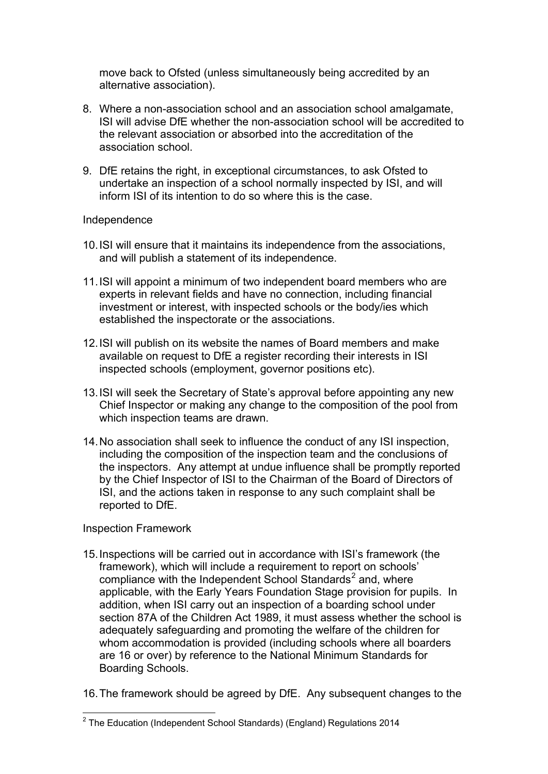move back to Ofsted (unless simultaneously being accredited by an alternative association).

- 8. Where a non-association school and an association school amalgamate, ISI will advise DfE whether the non-association school will be accredited to the relevant association or absorbed into the accreditation of the association school.
- 9. DfE retains the right, in exceptional circumstances, to ask Ofsted to undertake an inspection of a school normally inspected by ISI, and will inform ISI of its intention to do so where this is the case.

## Independence

- 10.ISI will ensure that it maintains its independence from the associations, and will publish a statement of its independence.
- 11.ISI will appoint a minimum of two independent board members who are experts in relevant fields and have no connection, including financial investment or interest, with inspected schools or the body/ies which established the inspectorate or the associations.
- 12.ISI will publish on its website the names of Board members and make available on request to DfE a register recording their interests in ISI inspected schools (employment, governor positions etc).
- 13.ISI will seek the Secretary of State's approval before appointing any new Chief Inspector or making any change to the composition of the pool from which inspection teams are drawn.
- 14.No association shall seek to influence the conduct of any ISI inspection, including the composition of the inspection team and the conclusions of the inspectors. Any attempt at undue influence shall be promptly reported by the Chief Inspector of ISI to the Chairman of the Board of Directors of ISI, and the actions taken in response to any such complaint shall be reported to DfE.

## Inspection Framework

- 15.Inspections will be carried out in accordance with ISI's framework (the framework), which will include a requirement to report on schools' compliance with the Independent School Standards $2$  and, where applicable, with the Early Years Foundation Stage provision for pupils. In addition, when ISI carry out an inspection of a boarding school under section 87A of the Children Act 1989, it must assess whether the school is adequately safeguarding and promoting the welfare of the children for whom accommodation is provided (including schools where all boarders are 16 or over) by reference to the National Minimum Standards for Boarding Schools.
- 16.The framework should be agreed by DfE. Any subsequent changes to the

<span id="page-2-0"></span> $2$  The Education (Independent School Standards) (England) Regulations 2014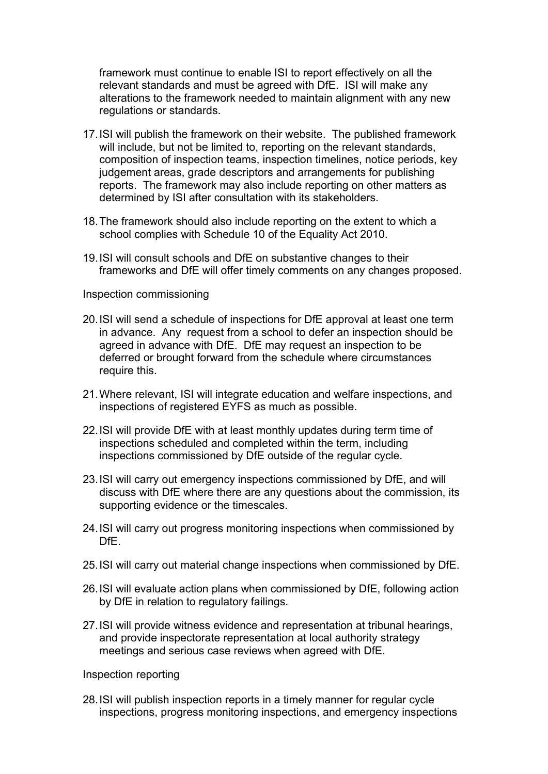framework must continue to enable ISI to report effectively on all the relevant standards and must be agreed with DfE. ISI will make any alterations to the framework needed to maintain alignment with any new regulations or standards.

- 17.ISI will publish the framework on their website. The published framework will include, but not be limited to, reporting on the relevant standards, composition of inspection teams, inspection timelines, notice periods, key judgement areas, grade descriptors and arrangements for publishing reports. The framework may also include reporting on other matters as determined by ISI after consultation with its stakeholders.
- 18.The framework should also include reporting on the extent to which a school complies with Schedule 10 of the Equality Act 2010.
- 19.ISI will consult schools and DfE on substantive changes to their frameworks and DfE will offer timely comments on any changes proposed.

Inspection commissioning

- 20.ISI will send a schedule of inspections for DfE approval at least one term in advance. Any request from a school to defer an inspection should be agreed in advance with DfE. DfE may request an inspection to be deferred or brought forward from the schedule where circumstances require this.
- 21.Where relevant, ISI will integrate education and welfare inspections, and inspections of registered EYFS as much as possible.
- 22.ISI will provide DfE with at least monthly updates during term time of inspections scheduled and completed within the term, including inspections commissioned by DfE outside of the regular cycle.
- 23.ISI will carry out emergency inspections commissioned by DfE, and will discuss with DfE where there are any questions about the commission, its supporting evidence or the timescales.
- 24.ISI will carry out progress monitoring inspections when commissioned by DfE.
- 25.ISI will carry out material change inspections when commissioned by DfE.
- 26.ISI will evaluate action plans when commissioned by DfE, following action by DfE in relation to regulatory failings.
- 27.ISI will provide witness evidence and representation at tribunal hearings, and provide inspectorate representation at local authority strategy meetings and serious case reviews when agreed with DfE.

Inspection reporting

28.ISI will publish inspection reports in a timely manner for regular cycle inspections, progress monitoring inspections, and emergency inspections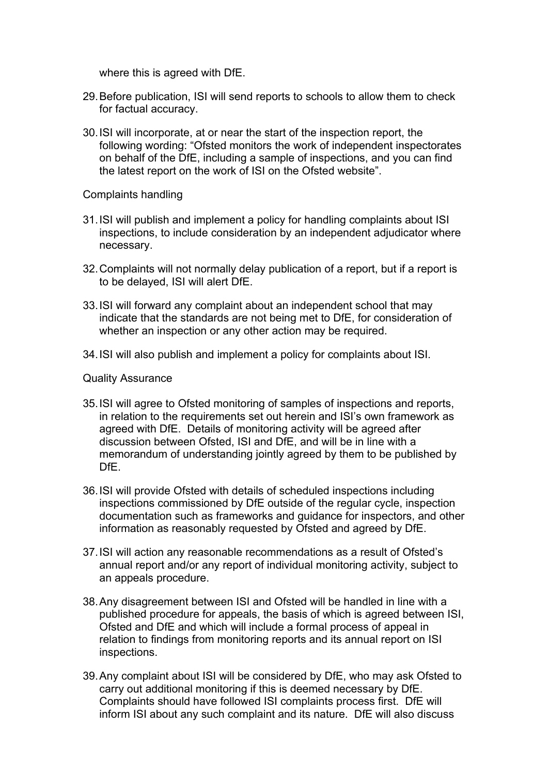where this is agreed with DfE.

- 29.Before publication, ISI will send reports to schools to allow them to check for factual accuracy.
- 30.ISI will incorporate, at or near the start of the inspection report, the following wording: "Ofsted monitors the work of independent inspectorates on behalf of the DfE, including a sample of inspections, and you can find the latest report on the work of ISI on the Ofsted website".

Complaints handling

- 31.ISI will publish and implement a policy for handling complaints about ISI inspections, to include consideration by an independent adjudicator where necessary.
- 32.Complaints will not normally delay publication of a report, but if a report is to be delayed, ISI will alert DfE.
- 33.ISI will forward any complaint about an independent school that may indicate that the standards are not being met to DfE, for consideration of whether an inspection or any other action may be required.
- 34.ISI will also publish and implement a policy for complaints about ISI.

Quality Assurance

- 35.ISI will agree to Ofsted monitoring of samples of inspections and reports, in relation to the requirements set out herein and ISI's own framework as agreed with DfE. Details of monitoring activity will be agreed after discussion between Ofsted, ISI and DfE, and will be in line with a memorandum of understanding jointly agreed by them to be published by DfE.
- 36.ISI will provide Ofsted with details of scheduled inspections including inspections commissioned by DfE outside of the regular cycle, inspection documentation such as frameworks and guidance for inspectors, and other information as reasonably requested by Ofsted and agreed by DfE.
- 37.ISI will action any reasonable recommendations as a result of Ofsted's annual report and/or any report of individual monitoring activity, subject to an appeals procedure.
- 38.Any disagreement between ISI and Ofsted will be handled in line with a published procedure for appeals, the basis of which is agreed between ISI, Ofsted and DfE and which will include a formal process of appeal in relation to findings from monitoring reports and its annual report on ISI inspections.
- 39.Any complaint about ISI will be considered by DfE, who may ask Ofsted to carry out additional monitoring if this is deemed necessary by DfE. Complaints should have followed ISI complaints process first. DfE will inform ISI about any such complaint and its nature. DfE will also discuss